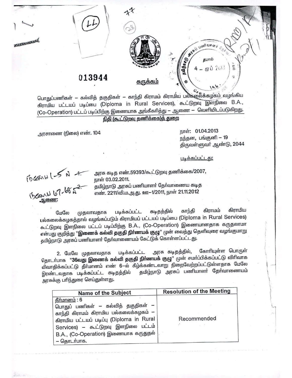

பொதுப்பணிகள் — கல்வித் தகுதிகள் — காந்தி கிராமம் கிராமிய பல்கலைக்கழகம் வழங்கிய கிராமிய பட்டயப் படிப்பை (Diploma in Rural Services), கூட்டுறவு இளநிலை B.A., (Co-Operation) பட்டப் படிப்பிற்கு இணையாக அங்கீகரித்து – ஆணை – வெளியிடப்படுகிறது.

## <u>நிதி (கூட்டுறவு தணிக்கை)த் துறை</u>

அரசாணை (நிலை) எண். 104

நாள்: 01.04.2013 நந்தன, பங்குனி – 19 திருவள்ளுவர் ஆண்டு, 2044

106

<u>படிக்கப்பட்டது:</u>

TO CEANU 1-5 N +

ஆணை:

அரசு கடித எண்.59393/கூட்டுறவு தணிக்கை/2007, நாள் 03.02.2011.

தமிழ்நாடு அரசுப் பணியாளா் தோ்வாணைய கடித எண். 2211/வி.ம.அ.து. ஊ-1/2011, நாள் 21.11.2012

கிராமிய கிராமம் காந்தி கடிதத்தில் படிக்கப்பட்ட மேலே முதலாவதாக பல்கலைக்கழகத்தால் வழங்கப்படும் கிராமியப் பட்டயப் படிப்பை (Diploma in Rural Services) கூட்டுறவு இளநிலை பட்டப் படிப்பிற்கு B.A., (Co-Operation) இணையானதாக கருதலாமா என்பது குறித்து ''**இணைக் கல்வி தகுதி நிா்ணயக் குழு'**' முன் வைத்து தெளிவுரை வழங்குமாறு தமிழ்நாடு அரசுப் பணியாளர் தோவாணையம் கேட்டுக் கொள்ளப்பட்டது.

கோரியுள்ள பொருள் அரசு கடிதத்தில், படிக்கப்பட்ட 2. மேலே முதலாவதாக தொடாபாக "**36வது இணைக் கல்வி தகுதி நிா்ணயக் குழு**" முன் சமாப்பிக்கப்பட்டு விரிவாக விவாதிக்கப்பட்டு தீா்மானம் எண் 6—ல் கீழ்க்கண்டவாறு நிறைவேற்றப்பட்டுள்ளதாக மேலே தமிழ்நாடு அரசுப் பணியாளா் தோ்வாணையம் இரண்டவதாக படிக்கப்பட்ட கடிதத்தில் அரசுக்கு பரிந்துரை செய்துள்ளது.

| Name of the Subject                                                                                                                                                                                                                              | <b>Resolution of the Meeting</b> |
|--------------------------------------------------------------------------------------------------------------------------------------------------------------------------------------------------------------------------------------------------|----------------------------------|
| <u> தீர்மானம்</u> : 6<br>பொதுப் பணிகள் – கல்வித் தகுதிகள் –<br>காந்தி கிராமம் கிராமிய பல்கலைக்கழகம் —<br>கிராமிய பட்டயப் படிப்பு (Diploma in Rural<br>Services) – கூட்டுறவு இளநிலை பட்டம்<br>B.A., (Co-Operation) இணையாக கருதுதல்<br>– தொடர்பாக. | Recommended                      |